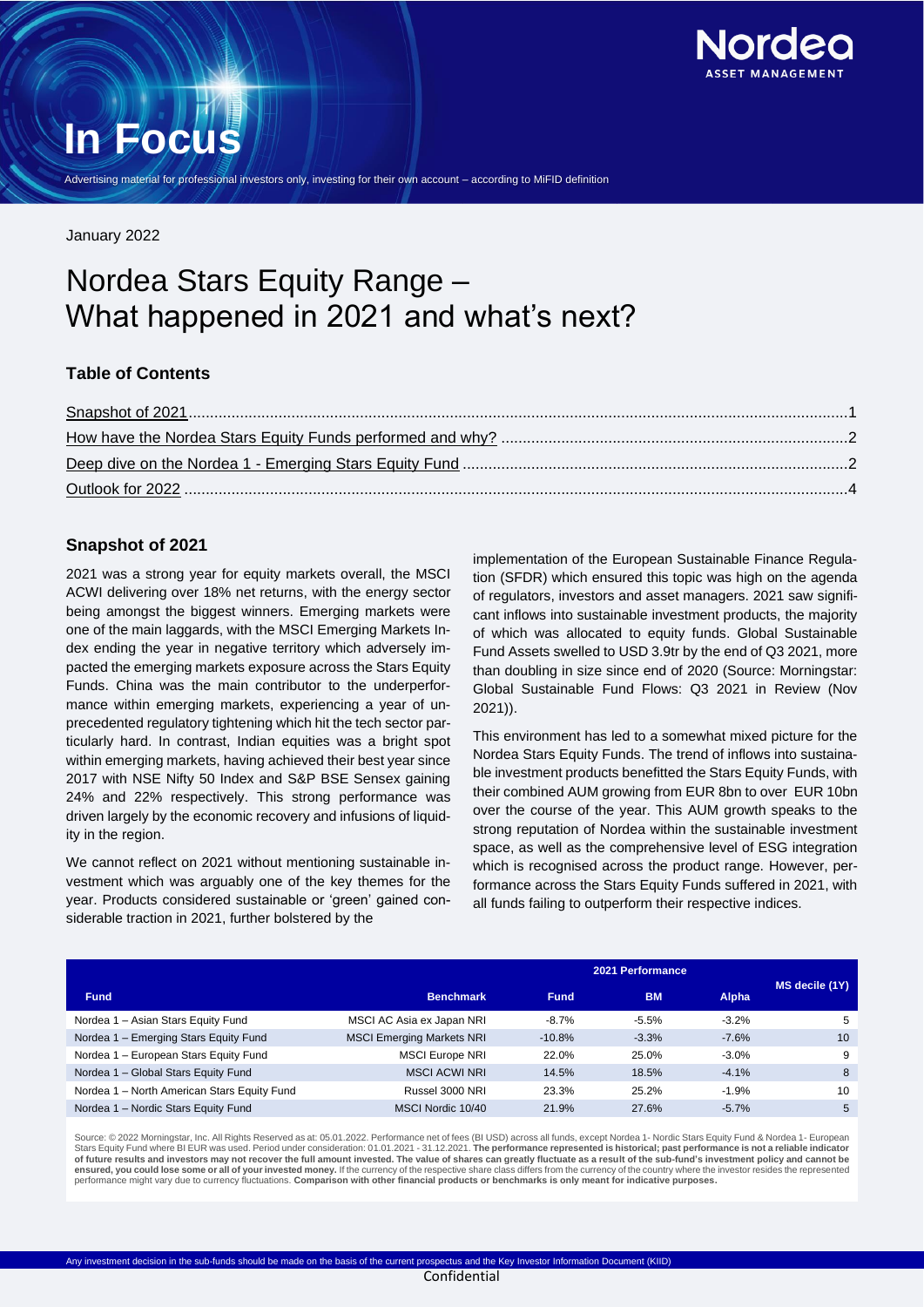

# **In Focus**

Advertising material for professional investors only, investing for their own account – according to MiFID definition

January 2022

# Nordea Stars Equity Range – What happened in 2021 and what's next?

# **Table of Contents**

# <span id="page-0-0"></span>**Snapshot of 2021**

2021 was a strong year for equity markets overall, the MSCI ACWI delivering over 18% net returns, with the energy sector being amongst the biggest winners. Emerging markets were one of the main laggards, with the MSCI Emerging Markets Index ending the year in negative territory which adversely impacted the emerging markets exposure across the Stars Equity Funds. China was the main contributor to the underperformance within emerging markets, experiencing a year of unprecedented regulatory tightening which hit the tech sector particularly hard. In contrast, Indian equities was a bright spot within emerging markets, having achieved their best year since 2017 with NSE Nifty 50 Index and S&P BSE Sensex gaining 24% and 22% respectively. This strong performance was driven largely by the economic recovery and infusions of liquidity in the region.

We cannot reflect on 2021 without mentioning sustainable investment which was arguably one of the key themes for the year. Products considered sustainable or 'green' gained considerable traction in 2021, further bolstered by the

implementation of the European Sustainable Finance Regulation (SFDR) which ensured this topic was high on the agenda of regulators, investors and asset managers. 2021 saw significant inflows into sustainable investment products, the majority of which was allocated to equity funds. Global Sustainable Fund Assets swelled to USD 3.9tr by the end of Q3 2021, more than doubling in size since end of 2020 (Source: Morningstar: Global Sustainable Fund Flows: Q3 2021 in Review (Nov 2021)).

This environment has led to a somewhat mixed picture for the Nordea Stars Equity Funds. The trend of inflows into sustainable investment products benefitted the Stars Equity Funds, with their combined AUM growing from EUR 8bn to over EUR 10bn over the course of the year. This AUM growth speaks to the strong reputation of Nordea within the sustainable investment space, as well as the comprehensive level of ESG integration which is recognised across the product range. However, performance across the Stars Equity Funds suffered in 2021, with all funds failing to outperform their respective indices.

|                                             | 2021 Performance                 |             |           |              |                |
|---------------------------------------------|----------------------------------|-------------|-----------|--------------|----------------|
| <b>Fund</b>                                 | <b>Benchmark</b>                 | <b>Fund</b> | <b>BM</b> | <b>Alpha</b> | MS decile (1Y) |
| Nordea 1 - Asian Stars Equity Fund          | MSCI AC Asia ex Japan NRI        | $-8.7%$     | $-5.5%$   | $-3.2%$      | 5              |
| Nordea 1 - Emerging Stars Equity Fund       | <b>MSCI Emerging Markets NRI</b> | $-10.8%$    | $-3.3%$   | $-7.6%$      | 10             |
| Nordea 1 - European Stars Equity Fund       | <b>MSCI Europe NRI</b>           | 22.0%       | 25.0%     | $-3.0%$      | 9              |
| Nordea 1 - Global Stars Equity Fund         | <b>MSCI ACWI NRI</b>             | 14.5%       | 18.5%     | $-4.1%$      | 8              |
| Nordea 1 - North American Stars Equity Fund | Russel 3000 NRI                  | 23.3%       | 25.2%     | $-1.9%$      | 10             |
| Nordea 1 - Nordic Stars Equity Fund         | MSCI Nordic 10/40                | 21.9%       | 27.6%     | $-5.7%$      | 5              |

Source: © 2022 Morningstar, Inc. All Rights Reserved as at: 05.01.2022. Performance net of fees (BI USD) across all funds, except Nordea 1- Nordic Stars Equity Fund & Nordea 1- European Stars Equity Fund where BI EUR was used. Period under consideration: 01.01.2021 - 31.12.2021. **The performance represented is historical; past performance is not a reliable indicator of future results and investors may not recover the full amount invested. The value of shares can greatly fluctuate as a result of the sub-fund's investment policy and cannot be**  ensured, you could lose some or all of your invested money. If the currency of the respective share class differs from the currency of the country where the investor resides the represented<br>performance might vary due to cu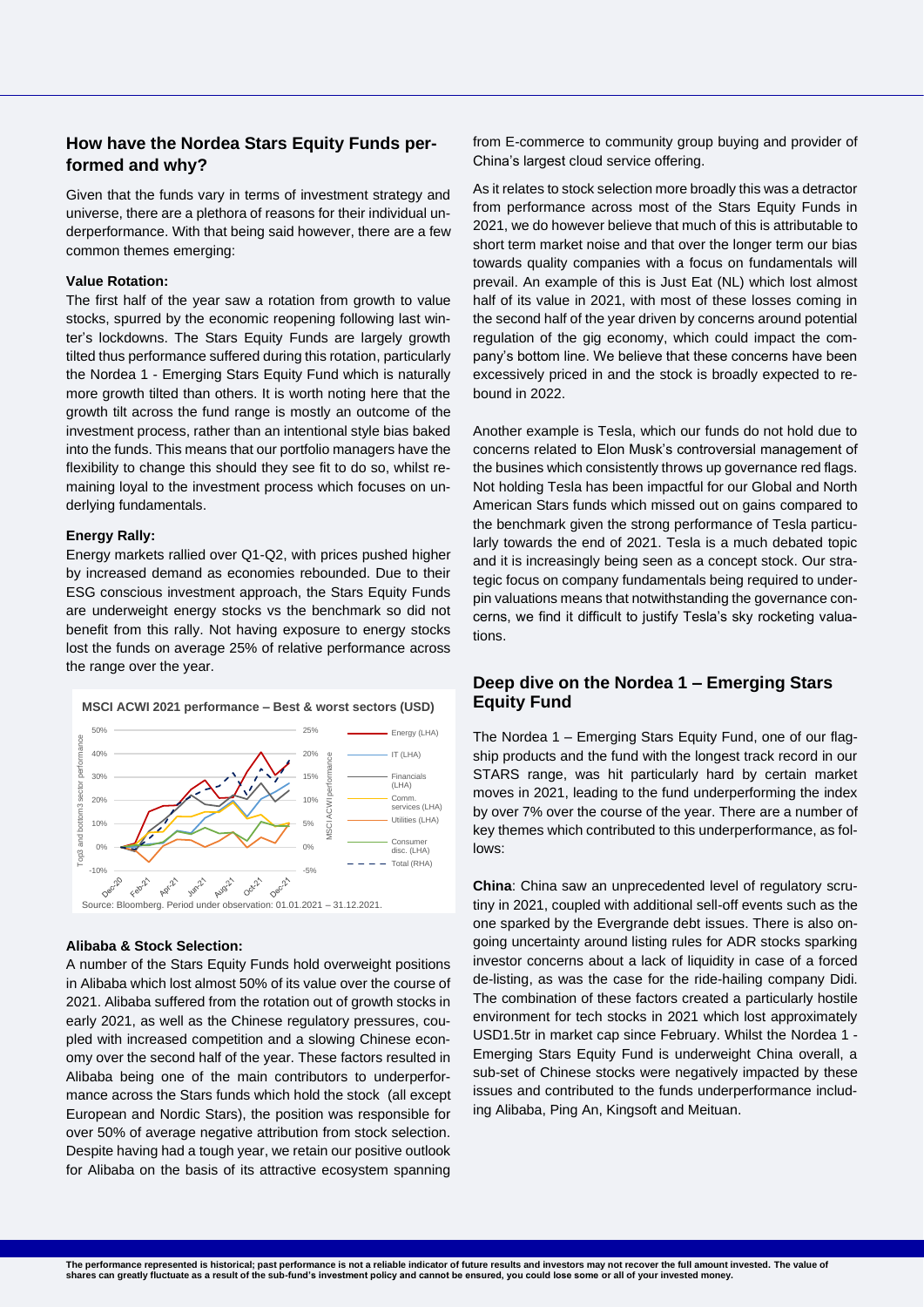# **How have the Nordea Stars Equity Funds performed and why?**

Given that the funds vary in terms of investment strategy and universe, there are a plethora of reasons for their individual underperformance. With that being said however, there are a few common themes emerging:

#### **Value Rotation:**

The first half of the year saw a rotation from growth to value stocks, spurred by the economic reopening following last winter's lockdowns. The Stars Equity Funds are largely growth tilted thus performance suffered during this rotation, particularly the Nordea 1 - Emerging Stars Equity Fund which is naturally more growth tilted than others. It is worth noting here that the growth tilt across the fund range is mostly an outcome of the investment process, rather than an intentional style bias baked into the funds. This means that our portfolio managers have the flexibility to change this should they see fit to do so, whilst remaining loyal to the investment process which focuses on underlying fundamentals.

#### **Energy Rally:**

Energy markets rallied over Q1-Q2, with prices pushed higher by increased demand as economies rebounded. Due to their ESG conscious investment approach, the Stars Equity Funds are underweight energy stocks vs the benchmark so did not benefit from this rally. Not having exposure to energy stocks lost the funds on average 25% of relative performance across the range over the year.

#### **MSCI ACWI 2021 performance – Best & worst sectors (USD)**



### **Alibaba & Stock Selection:**

A number of the Stars Equity Funds hold overweight positions in Alibaba which lost almost 50% of its value over the course of 2021. Alibaba suffered from the rotation out of growth stocks in early 2021, as well as the Chinese regulatory pressures, coupled with increased competition and a slowing Chinese economy over the second half of the year. These factors resulted in Alibaba being one of the main contributors to underperformance across the Stars funds which hold the stock (all except European and Nordic Stars), the position was responsible for over 50% of average negative attribution from stock selection. Despite having had a tough year, we retain our positive outlook for Alibaba on the basis of its attractive ecosystem spanning from E-commerce to community group buying and provider of China's largest cloud service offering.

As it relates to stock selection more broadly this was a detractor from performance across most of the Stars Equity Funds in 2021, we do however believe that much of this is attributable to short term market noise and that over the longer term our bias towards quality companies with a focus on fundamentals will prevail. An example of this is Just Eat (NL) which lost almost half of its value in 2021, with most of these losses coming in the second half of the year driven by concerns around potential regulation of the gig economy, which could impact the company's bottom line. We believe that these concerns have been excessively priced in and the stock is broadly expected to rebound in 2022.

Another example is Tesla, which our funds do not hold due to concerns related to Elon Musk's controversial management of the busines which consistently throws up governance red flags. Not holding Tesla has been impactful for our Global and North American Stars funds which missed out on gains compared to the benchmark given the strong performance of Tesla particularly towards the end of 2021. Tesla is a much debated topic and it is increasingly being seen as a concept stock. Our strategic focus on company fundamentals being required to underpin valuations means that notwithstanding the governance concerns, we find it difficult to justify Tesla's sky rocketing valuations.

# <span id="page-1-0"></span>**Deep dive on the Nordea 1 – Emerging Stars Equity Fund**

The Nordea 1 – Emerging Stars Equity Fund, one of our flagship products and the fund with the longest track record in our STARS range, was hit particularly hard by certain market moves in 2021, leading to the fund underperforming the index by over 7% over the course of the year. There are a number of key themes which contributed to this underperformance, as follows:

**China**: China saw an unprecedented level of regulatory scrutiny in 2021, coupled with additional sell-off events such as the one sparked by the Evergrande debt issues. There is also ongoing uncertainty around listing rules for ADR stocks sparking investor concerns about a lack of liquidity in case of a forced de-listing, as was the case for the ride-hailing company Didi. The combination of these factors created a particularly hostile environment for tech stocks in 2021 which lost approximately USD1.5tr in market cap since February. Whilst the Nordea 1 - Emerging Stars Equity Fund is underweight China overall, a sub-set of Chinese stocks were negatively impacted by these issues and contributed to the funds underperformance including Alibaba, Ping An, Kingsoft and Meituan.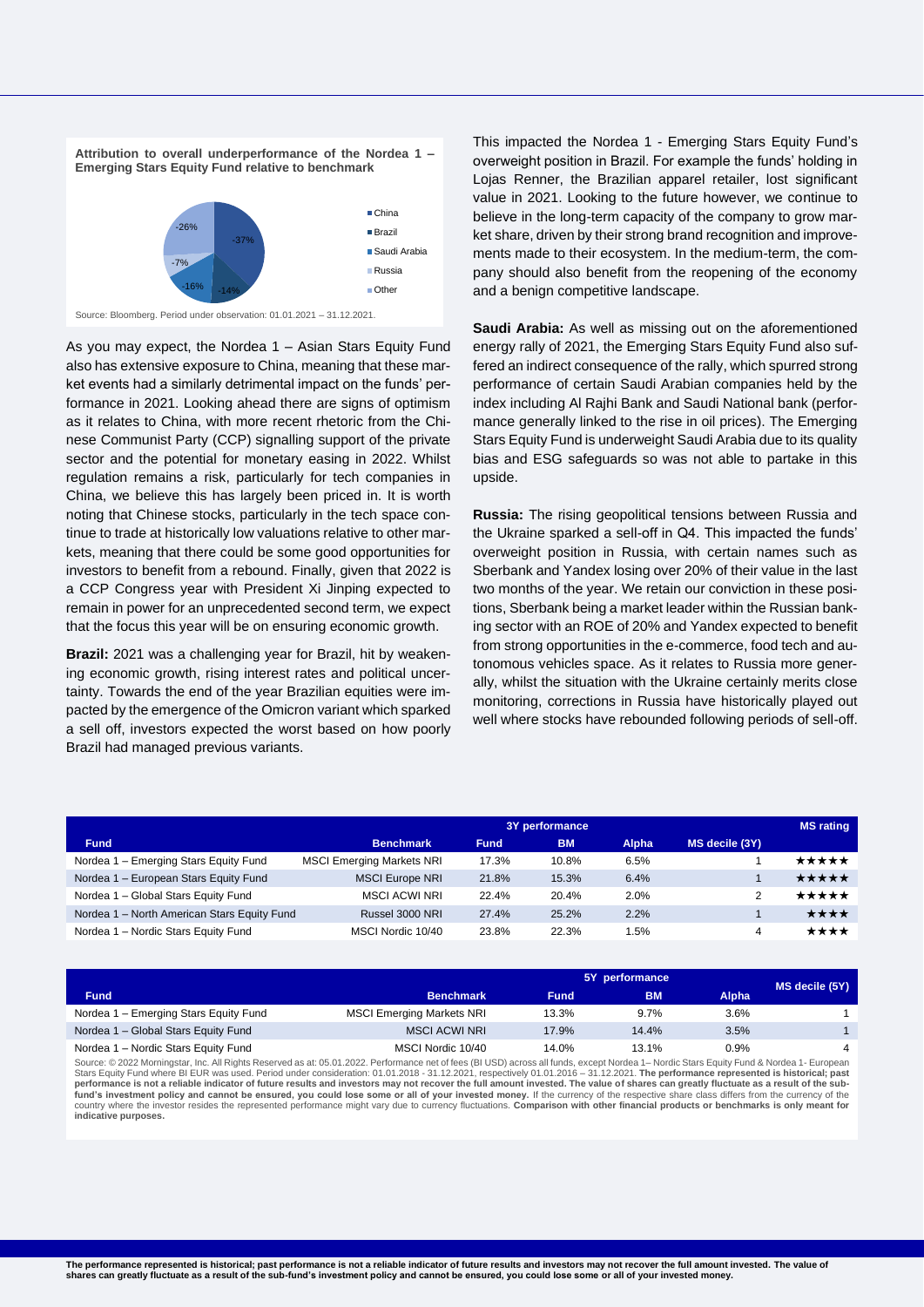



Source: Bloomberg. Period under observation: 01.01.2021 – 31.12.2021.

As you may expect, the Nordea 1 – Asian Stars Equity Fund also has extensive exposure to China, meaning that these market events had a similarly detrimental impact on the funds' performance in 2021. Looking ahead there are signs of optimism as it relates to China, with more recent rhetoric from the Chinese Communist Party (CCP) signalling support of the private sector and the potential for monetary easing in 2022. Whilst regulation remains a risk, particularly for tech companies in China, we believe this has largely been priced in. It is worth noting that Chinese stocks, particularly in the tech space continue to trade at historically low valuations relative to other markets, meaning that there could be some good opportunities for investors to benefit from a rebound. Finally, given that 2022 is a CCP Congress year with President Xi Jinping expected to remain in power for an unprecedented second term, we expect that the focus this year will be on ensuring economic growth.

**Brazil:** 2021 was a challenging year for Brazil, hit by weakening economic growth, rising interest rates and political uncertainty. Towards the end of the year Brazilian equities were impacted by the emergence of the Omicron variant which sparked a sell off, investors expected the worst based on how poorly Brazil had managed previous variants.

This impacted the Nordea 1 - Emerging Stars Equity Fund's overweight position in Brazil. For example the funds' holding in Lojas Renner, the Brazilian apparel retailer, lost significant value in 2021. Looking to the future however, we continue to believe in the long-term capacity of the company to grow market share, driven by their strong brand recognition and improvements made to their ecosystem. In the medium-term, the company should also benefit from the reopening of the economy and a benign competitive landscape.

**Saudi Arabia:** As well as missing out on the aforementioned energy rally of 2021, the Emerging Stars Equity Fund also suffered an indirect consequence of the rally, which spurred strong performance of certain Saudi Arabian companies held by the index including Al Rajhi Bank and Saudi National bank (performance generally linked to the rise in oil prices). The Emerging Stars Equity Fund is underweight Saudi Arabia due to its quality bias and ESG safeguards so was not able to partake in this upside.

**Russia:** The rising geopolitical tensions between Russia and the Ukraine sparked a sell-off in Q4. This impacted the funds' overweight position in Russia, with certain names such as Sberbank and Yandex losing over 20% of their value in the last two months of the year. We retain our conviction in these positions, Sberbank being a market leader within the Russian banking sector with an ROE of 20% and Yandex expected to benefit from strong opportunities in the e-commerce, food tech and autonomous vehicles space. As it relates to Russia more generally, whilst the situation with the Ukraine certainly merits close monitoring, corrections in Russia have historically played out well where stocks have rebounded following periods of sell-off.

|                                             | 3Y performance                   |             |           |              | <b>MS</b> rating |       |
|---------------------------------------------|----------------------------------|-------------|-----------|--------------|------------------|-------|
| <b>Fund</b>                                 | <b>Benchmark</b>                 | <b>Fund</b> | <b>BM</b> | <b>Alpha</b> | MS decile (3Y)   |       |
| Nordea 1 - Emerging Stars Equity Fund       | <b>MSCI Emerging Markets NRI</b> | 17.3%       | 10.8%     | 6.5%         |                  | ★★★★★ |
| Nordea 1 - European Stars Equity Fund       | <b>MSCI Europe NRI</b>           | 21.8%       | 15.3%     | 6.4%         |                  | ★★★★★ |
| Nordea 1 - Global Stars Equity Fund         | <b>MSCI ACWI NRI</b>             | 22.4%       | 20.4%     | 2.0%         | 2                | ***** |
| Nordea 1 - North American Stars Equity Fund | Russel 3000 NRI                  | 27.4%       | 25.2%     | 2.2%         |                  | ★★★★  |
| Nordea 1 - Nordic Stars Equity Fund         | MSCI Nordic 10/40                | 23.8%       | 22.3%     | 1.5%         | 4                | ****  |

|                                       | 5Y performance                   |             |           |              | MS decile (5Y) |
|---------------------------------------|----------------------------------|-------------|-----------|--------------|----------------|
| <b>Fund</b>                           | <b>Benchmark</b>                 | <b>Fund</b> | <b>BM</b> | <b>Alpha</b> |                |
| Nordea 1 - Emerging Stars Equity Fund | <b>MSCI Emerging Markets NRI</b> | 13.3%       | 9.7%      | 3.6%         |                |
| Nordea 1 - Global Stars Equity Fund   | <b>MSCI ACWI NRI</b>             | 17.9%       | 14.4%     | 3.5%         |                |
| Nordea 1 - Nordic Stars Equity Fund   | MSCI Nordic 10/40                | 14.0%       | 13.1%     | $0.9\%$      |                |

Source: © 2022 Morningstar, Inc. All Rights Reserved as at: 05.01.2022. Performance net of fees (BI USD) across all funds, except Nordea 1– Nordic Stars Equity Fund & Nordea 1- European Stars Equity Fund where BI EUR was used. Period under consideration: 01.01.2018 - 31.12.2021, respectively 01.01.2016 – 31.12.2021. **The performance represented is historical; past performance is not a reliable indicator of future results and investors may not recover the full amount invested. The value of shares can greatly fluctuate as a result of the sub**fund's investment policy and cannot be ensured, you could lose some or all of your invested money. If the currency of the respective share class differs from the currency of the where the investor resides the represented performance might vary due to currency fluctuations. Comparison with other financial products or benchmarks is only meant for **indicative purposes.**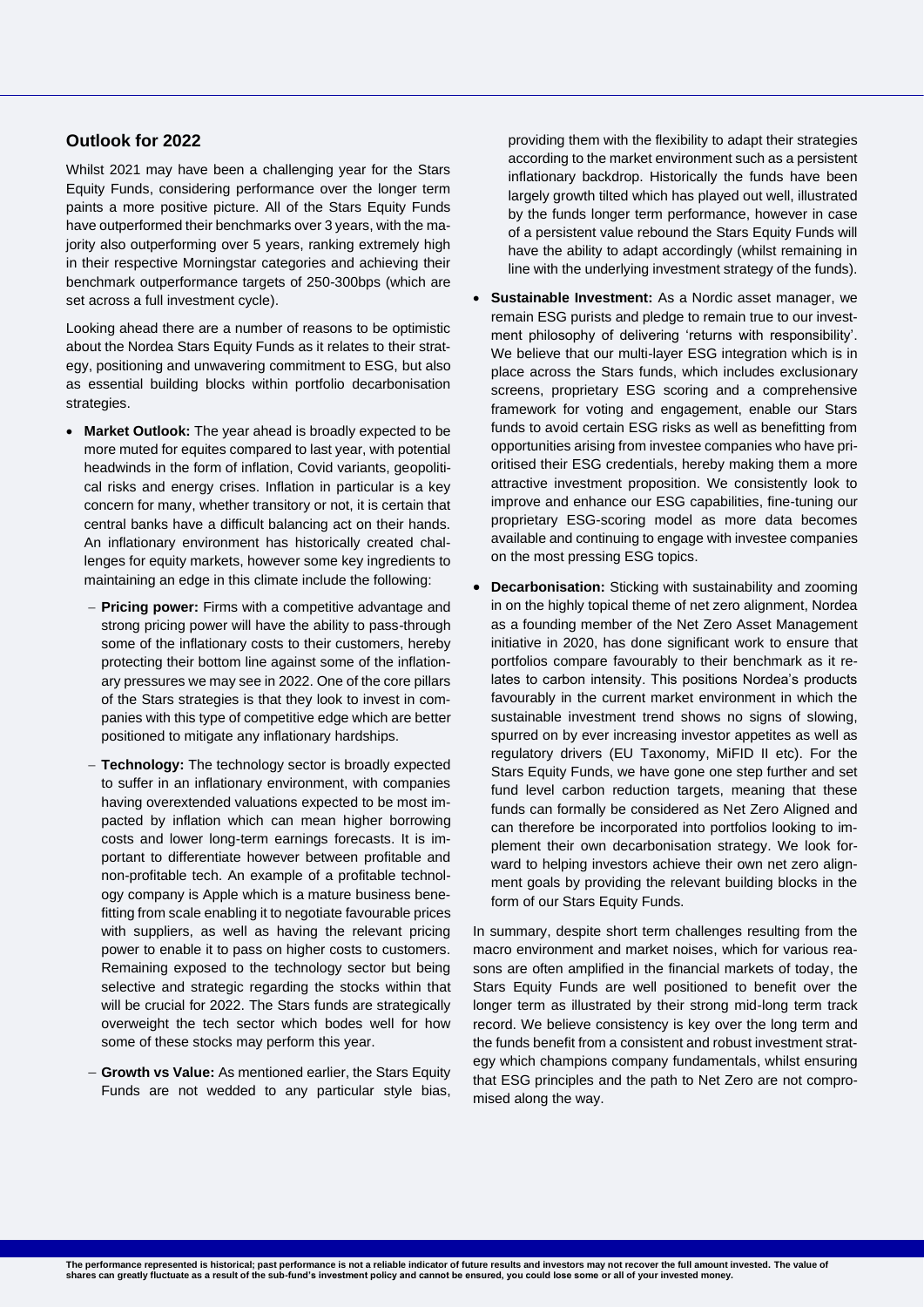# <span id="page-3-0"></span>**Outlook for 2022**

Whilst 2021 may have been a challenging year for the Stars Equity Funds, considering performance over the longer term paints a more positive picture. All of the Stars Equity Funds have outperformed their benchmarks over 3 years, with the majority also outperforming over 5 years, ranking extremely high in their respective Morningstar categories and achieving their benchmark outperformance targets of 250-300bps (which are set across a full investment cycle).

Looking ahead there are a number of reasons to be optimistic about the Nordea Stars Equity Funds as it relates to their strategy, positioning and unwavering commitment to ESG, but also as essential building blocks within portfolio decarbonisation strategies.

- **Market Outlook:** The year ahead is broadly expected to be more muted for equites compared to last year, with potential headwinds in the form of inflation, Covid variants, geopolitical risks and energy crises. Inflation in particular is a key concern for many, whether transitory or not, it is certain that central banks have a difficult balancing act on their hands. An inflationary environment has historically created challenges for equity markets, however some key ingredients to maintaining an edge in this climate include the following:
	- − **Pricing power:** Firms with a competitive advantage and strong pricing power will have the ability to pass-through some of the inflationary costs to their customers, hereby protecting their bottom line against some of the inflationary pressures we may see in 2022. One of the core pillars of the Stars strategies is that they look to invest in companies with this type of competitive edge which are better positioned to mitigate any inflationary hardships.
	- − **Technology:** The technology sector is broadly expected to suffer in an inflationary environment, with companies having overextended valuations expected to be most impacted by inflation which can mean higher borrowing costs and lower long-term earnings forecasts. It is important to differentiate however between profitable and non-profitable tech. An example of a profitable technology company is Apple which is a mature business benefitting from scale enabling it to negotiate favourable prices with suppliers, as well as having the relevant pricing power to enable it to pass on higher costs to customers. Remaining exposed to the technology sector but being selective and strategic regarding the stocks within that will be crucial for 2022. The Stars funds are strategically overweight the tech sector which bodes well for how some of these stocks may perform this year.
	- − **Growth vs Value:** As mentioned earlier, the Stars Equity Funds are not wedded to any particular style bias,

providing them with the flexibility to adapt their strategies according to the market environment such as a persistent inflationary backdrop. Historically the funds have been largely growth tilted which has played out well, illustrated by the funds longer term performance, however in case of a persistent value rebound the Stars Equity Funds will have the ability to adapt accordingly (whilst remaining in line with the underlying investment strategy of the funds).

- **Sustainable Investment:** As a Nordic asset manager, we remain ESG purists and pledge to remain true to our investment philosophy of delivering 'returns with responsibility'. We believe that our multi-layer ESG integration which is in place across the Stars funds, which includes exclusionary screens, proprietary ESG scoring and a comprehensive framework for voting and engagement, enable our Stars funds to avoid certain ESG risks as well as benefitting from opportunities arising from investee companies who have prioritised their ESG credentials, hereby making them a more attractive investment proposition. We consistently look to improve and enhance our ESG capabilities, fine-tuning our proprietary ESG-scoring model as more data becomes available and continuing to engage with investee companies on the most pressing ESG topics.
- **Decarbonisation:** Sticking with sustainability and zooming in on the highly topical theme of net zero alignment, Nordea as a founding member of the Net Zero Asset Management initiative in 2020, has done significant work to ensure that portfolios compare favourably to their benchmark as it relates to carbon intensity. This positions Nordea's products favourably in the current market environment in which the sustainable investment trend shows no signs of slowing, spurred on by ever increasing investor appetites as well as regulatory drivers (EU Taxonomy, MiFID II etc). For the Stars Equity Funds, we have gone one step further and set fund level carbon reduction targets, meaning that these funds can formally be considered as Net Zero Aligned and can therefore be incorporated into portfolios looking to implement their own decarbonisation strategy. We look forward to helping investors achieve their own net zero alignment goals by providing the relevant building blocks in the form of our Stars Equity Funds.

In summary, despite short term challenges resulting from the macro environment and market noises, which for various reasons are often amplified in the financial markets of today, the Stars Equity Funds are well positioned to benefit over the longer term as illustrated by their strong mid-long term track record. We believe consistency is key over the long term and the funds benefit from a consistent and robust investment strategy which champions company fundamentals, whilst ensuring that ESG principles and the path to Net Zero are not compromised along the way.